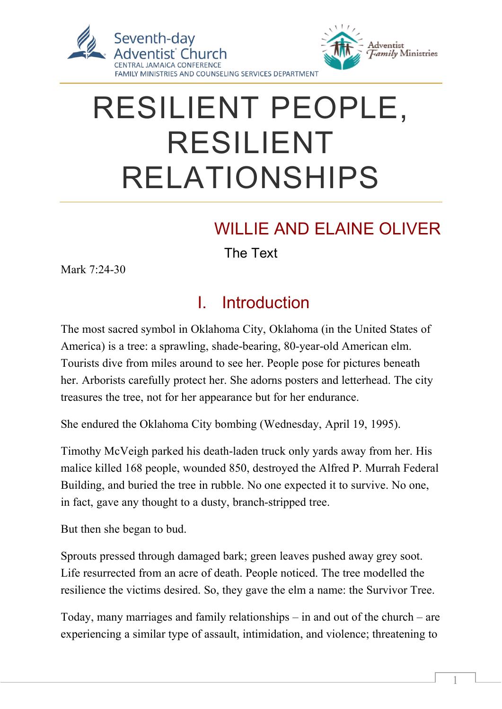

# RESILIENT PEOPLE, RESILIENT RELATIONSHIPS

## WILLIE AND ELAINE OLIVER

The Text

Mark 7:24-30

### I. Introduction

The most sacred symbol in Oklahoma City, Oklahoma (in the United States of America) is a tree: a sprawling, shade-bearing, 80-year-old American elm. Tourists dive from miles around to see her. People pose for pictures beneath her. Arborists carefully protect her. She adorns posters and letterhead. The city treasures the tree, not for her appearance but for her endurance.

She endured the Oklahoma City bombing (Wednesday, April 19, 1995).

Timothy McVeigh parked his death-laden truck only yards away from her. His malice killed 168 people, wounded 850, destroyed the Alfred P. Murrah Federal Building, and buried the tree in rubble. No one expected it to survive. No one, in fact, gave any thought to a dusty, branch-stripped tree.

But then she began to bud.

Sprouts pressed through damaged bark; green leaves pushed away grey soot. Life resurrected from an acre of death. People noticed. The tree modelled the resilience the victims desired. So, they gave the elm a name: the Survivor Tree.

Today, many marriages and family relationships – in and out of the church – are experiencing a similar type of assault, intimidation, and violence; threatening to

 $\overline{a}$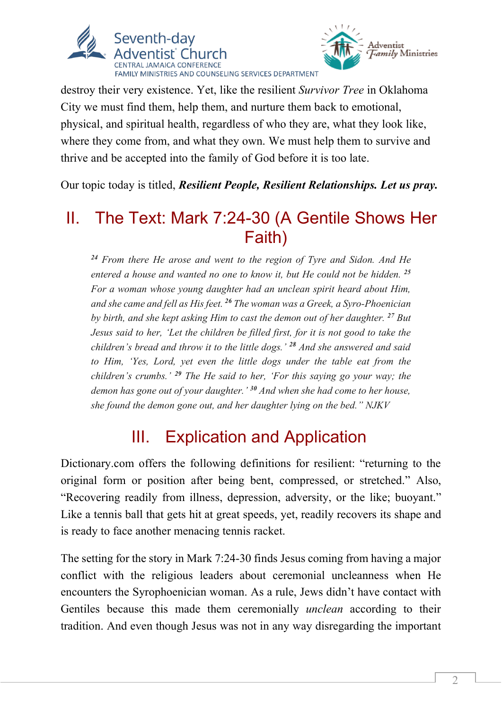



destroy their very existence. Yet, like the resilient *Survivor Tree* in Oklahoma City we must find them, help them, and nurture them back to emotional, physical, and spiritual health, regardless of who they are, what they look like, where they come from, and what they own. We must help them to survive and thrive and be accepted into the family of God before it is too late.

Our topic today is titled, *Resilient People, Resilient Relationships. Let us pray.*

#### II. The Text: Mark 7:24-30 (A Gentile Shows Her Faith)

*<sup>24</sup> From there He arose and went to the region of Tyre and Sidon. And He entered a house and wanted no one to know it, but He could not be hidden. <sup>25</sup> For a woman whose young daughter had an unclean spirit heard about Him, and she came and fell as His feet. <sup>26</sup> The woman was a Greek, a Syro-Phoenician by birth, and she kept asking Him to cast the demon out of her daughter. <sup>27</sup> But Jesus said to her, 'Let the children be filled first, for it is not good to take the children's bread and throw it to the little dogs.' <sup>28</sup> And she answered and said to Him, 'Yes, Lord, yet even the little dogs under the table eat from the children's crumbs.' <sup>29</sup> The He said to her, 'For this saying go your way; the demon has gone out of your daughter.' <sup>30</sup> And when she had come to her house, she found the demon gone out, and her daughter lying on the bed." NJKV*

#### III. Explication and Application

Dictionary.com offers the following definitions for resilient: "returning to the original form or position after being bent, compressed, or stretched." Also, "Recovering readily from illness, depression, adversity, or the like; buoyant." Like a tennis ball that gets hit at great speeds, yet, readily recovers its shape and is ready to face another menacing tennis racket.

The setting for the story in Mark 7:24-30 finds Jesus coming from having a major conflict with the religious leaders about ceremonial uncleanness when He encounters the Syrophoenician woman. As a rule, Jews didn't have contact with Gentiles because this made them ceremonially *unclean* according to their tradition. And even though Jesus was not in any way disregarding the important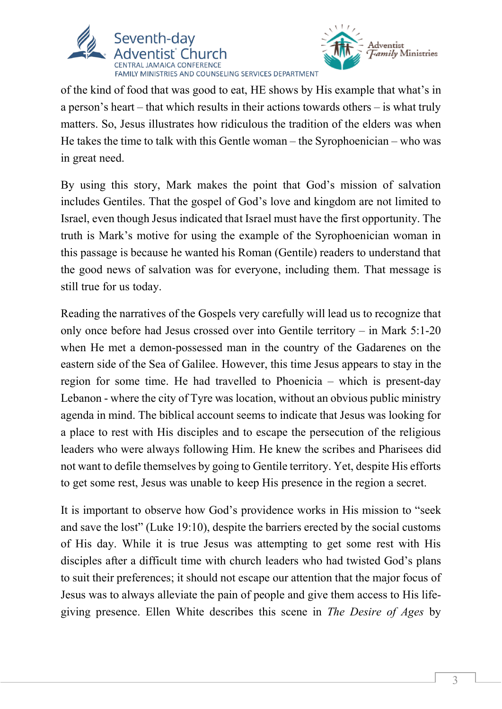



of the kind of food that was good to eat, HE shows by His example that what's in a person's heart – that which results in their actions towards others – is what truly matters. So, Jesus illustrates how ridiculous the tradition of the elders was when He takes the time to talk with this Gentle woman – the Syrophoenician – who was in great need.

By using this story, Mark makes the point that God's mission of salvation includes Gentiles. That the gospel of God's love and kingdom are not limited to Israel, even though Jesus indicated that Israel must have the first opportunity. The truth is Mark's motive for using the example of the Syrophoenician woman in this passage is because he wanted his Roman (Gentile) readers to understand that the good news of salvation was for everyone, including them. That message is still true for us today.

Reading the narratives of the Gospels very carefully will lead us to recognize that only once before had Jesus crossed over into Gentile territory – in Mark 5:1-20 when He met a demon-possessed man in the country of the Gadarenes on the eastern side of the Sea of Galilee. However, this time Jesus appears to stay in the region for some time. He had travelled to Phoenicia – which is present-day Lebanon - where the city of Tyre was location, without an obvious public ministry agenda in mind. The biblical account seems to indicate that Jesus was looking for a place to rest with His disciples and to escape the persecution of the religious leaders who were always following Him. He knew the scribes and Pharisees did not want to defile themselves by going to Gentile territory. Yet, despite His efforts to get some rest, Jesus was unable to keep His presence in the region a secret.

It is important to observe how God's providence works in His mission to "seek and save the lost" (Luke 19:10), despite the barriers erected by the social customs of His day. While it is true Jesus was attempting to get some rest with His disciples after a difficult time with church leaders who had twisted God's plans to suit their preferences; it should not escape our attention that the major focus of Jesus was to always alleviate the pain of people and give them access to His lifegiving presence. Ellen White describes this scene in *The Desire of Ages* by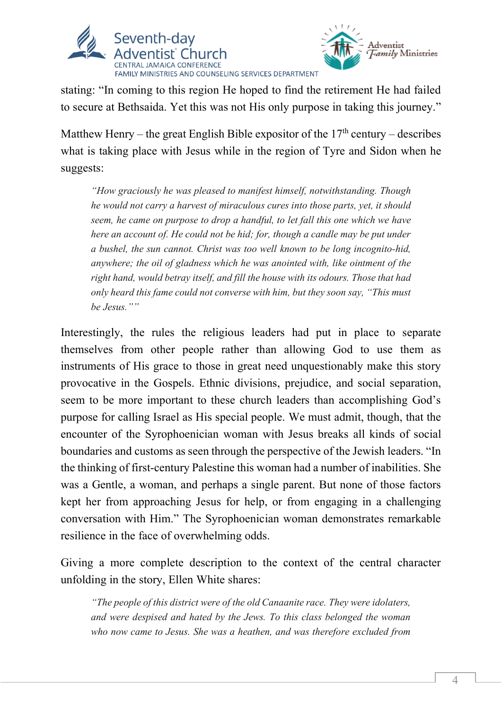



stating: "In coming to this region He hoped to find the retirement He had failed to secure at Bethsaida. Yet this was not His only purpose in taking this journey."

Matthew Henry – the great English Bible expositor of the  $17<sup>th</sup>$  century – describes what is taking place with Jesus while in the region of Tyre and Sidon when he suggests:

*"How graciously he was pleased to manifest himself, notwithstanding. Though he would not carry a harvest of miraculous cures into those parts, yet, it should seem, he came on purpose to drop a handful, to let fall this one which we have here an account of. He could not be hid; for, though a candle may be put under a bushel, the sun cannot. Christ was too well known to be long incognito-hid, anywhere; the oil of gladness which he was anointed with, like ointment of the right hand, would betray itself, and fill the house with its odours. Those that had only heard this fame could not converse with him, but they soon say, "This must be Jesus.""*

Interestingly, the rules the religious leaders had put in place to separate themselves from other people rather than allowing God to use them as instruments of His grace to those in great need unquestionably make this story provocative in the Gospels. Ethnic divisions, prejudice, and social separation, seem to be more important to these church leaders than accomplishing God's purpose for calling Israel as His special people. We must admit, though, that the encounter of the Syrophoenician woman with Jesus breaks all kinds of social boundaries and customs as seen through the perspective of the Jewish leaders. "In the thinking of first-century Palestine this woman had a number of inabilities. She was a Gentle, a woman, and perhaps a single parent. But none of those factors kept her from approaching Jesus for help, or from engaging in a challenging conversation with Him." The Syrophoenician woman demonstrates remarkable resilience in the face of overwhelming odds.

Giving a more complete description to the context of the central character unfolding in the story, Ellen White shares:

*"The people of this district were of the old Canaanite race. They were idolaters, and were despised and hated by the Jews. To this class belonged the woman who now came to Jesus. She was a heathen, and was therefore excluded from*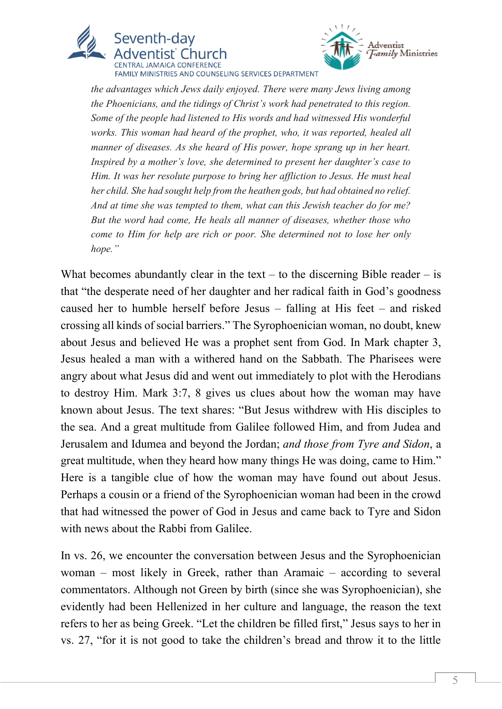



FAMILY MINISTRIES AND COUNSELING SERVICES DEPARTMENT

*the advantages which Jews daily enjoyed. There were many Jews living among the Phoenicians, and the tidings of Christ's work had penetrated to this region. Some of the people had listened to His words and had witnessed His wonderful works. This woman had heard of the prophet, who, it was reported, healed all manner of diseases. As she heard of His power, hope sprang up in her heart. Inspired by a mother's love, she determined to present her daughter's case to Him. It was her resolute purpose to bring her affliction to Jesus. He must heal her child. She had sought help from the heathen gods, but had obtained no relief. And at time she was tempted to them, what can this Jewish teacher do for me? But the word had come, He heals all manner of diseases, whether those who come to Him for help are rich or poor. She determined not to lose her only hope."*

What becomes abundantly clear in the text – to the discerning Bible reader – is that "the desperate need of her daughter and her radical faith in God's goodness caused her to humble herself before Jesus – falling at His feet – and risked crossing all kinds of social barriers." The Syrophoenician woman, no doubt, knew about Jesus and believed He was a prophet sent from God. In Mark chapter 3, Jesus healed a man with a withered hand on the Sabbath. The Pharisees were angry about what Jesus did and went out immediately to plot with the Herodians to destroy Him. Mark 3:7, 8 gives us clues about how the woman may have known about Jesus. The text shares: "But Jesus withdrew with His disciples to the sea. And a great multitude from Galilee followed Him, and from Judea and Jerusalem and Idumea and beyond the Jordan; *and those from Tyre and Sidon*, a great multitude, when they heard how many things He was doing, came to Him." Here is a tangible clue of how the woman may have found out about Jesus. Perhaps a cousin or a friend of the Syrophoenician woman had been in the crowd that had witnessed the power of God in Jesus and came back to Tyre and Sidon with news about the Rabbi from Galilee.

In vs. 26, we encounter the conversation between Jesus and the Syrophoenician woman – most likely in Greek, rather than Aramaic – according to several commentators. Although not Green by birth (since she was Syrophoenician), she evidently had been Hellenized in her culture and language, the reason the text refers to her as being Greek. "Let the children be filled first," Jesus says to her in vs. 27, "for it is not good to take the children's bread and throw it to the little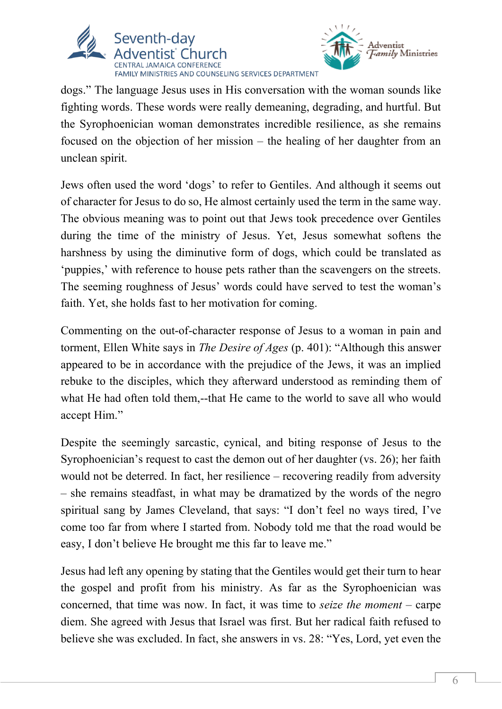



dogs." The language Jesus uses in His conversation with the woman sounds like fighting words. These words were really demeaning, degrading, and hurtful. But the Syrophoenician woman demonstrates incredible resilience, as she remains focused on the objection of her mission – the healing of her daughter from an unclean spirit.

Jews often used the word 'dogs' to refer to Gentiles. And although it seems out of character for Jesus to do so, He almost certainly used the term in the same way. The obvious meaning was to point out that Jews took precedence over Gentiles during the time of the ministry of Jesus. Yet, Jesus somewhat softens the harshness by using the diminutive form of dogs, which could be translated as 'puppies,' with reference to house pets rather than the scavengers on the streets. The seeming roughness of Jesus' words could have served to test the woman's faith. Yet, she holds fast to her motivation for coming.

Commenting on the out-of-character response of Jesus to a woman in pain and torment, Ellen White says in *The Desire of Ages* (p. 401): "Although this answer appeared to be in accordance with the prejudice of the Jews, it was an implied rebuke to the disciples, which they afterward understood as reminding them of what He had often told them,--that He came to the world to save all who would accept Him."

Despite the seemingly sarcastic, cynical, and biting response of Jesus to the Syrophoenician's request to cast the demon out of her daughter (vs. 26); her faith would not be deterred. In fact, her resilience – recovering readily from adversity – she remains steadfast, in what may be dramatized by the words of the negro spiritual sang by James Cleveland, that says: "I don't feel no ways tired, I've come too far from where I started from. Nobody told me that the road would be easy, I don't believe He brought me this far to leave me."

Jesus had left any opening by stating that the Gentiles would get their turn to hear the gospel and profit from his ministry. As far as the Syrophoenician was concerned, that time was now. In fact, it was time to *seize the moment* – carpe diem. She agreed with Jesus that Israel was first. But her radical faith refused to believe she was excluded. In fact, she answers in vs. 28: "Yes, Lord, yet even the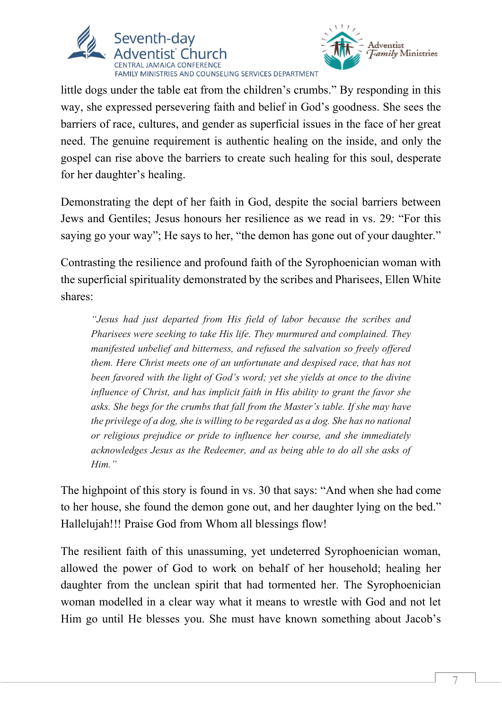



little dogs under the table eat from the children's crumbs." By responding in this way, she expressed persevering faith and belief in God's goodness. She sees the barriers of race, cultures, and gender as superficial issues in the face of her great need. The genuine requirement is authentic healing on the inside, and only the gospel can rise above the barriers to create such healing for this soul, desperate for her daughter's healing.

Demonstrating the dept of her faith in God, despite the social barriers between Jews and Gentiles; Jesus honours her resilience as we read in vs. 29: "For this saying go your way"; He says to her, "the demon has gone out of your daughter."

Contrasting the resilience and profound faith of the Syrophoenician woman with the superficial spirituality demonstrated by the scribes and Pharisees, Ellen White shares:

*"Jesus had just departed from His field of labor because the scribes and Pharisees were seeking to take His life. They murmured and complained. They manifested unbelief and bitterness, and refused the salvation so freely offered them. Here Christ meets one of an unfortunate and despised race, that has not been favored with the light of God's word; yet she yields at once to the divine influence of Christ, and has implicit faith in His ability to grant the favor she asks. She begs for the crumbs that fall from the Master's table. If she may have the privilege of a dog, she is willing to be regarded as a dog. She has no national or religious prejudice or pride to influence her course, and she immediately acknowledges Jesus as the Redeemer, and as being able to do all she asks of Him."*

The highpoint of this story is found in vs. 30 that says: "And when she had come to her house, she found the demon gone out, and her daughter lying on the bed." Hallelujah!!! Praise God from Whom all blessings flow!

The resilient faith of this unassuming, yet undeterred Syrophoenician woman, allowed the power of God to work on behalf of her household; healing her daughter from the unclean spirit that had tormented her. The Syrophoenician woman modelled in a clear way what it means to wrestle with God and not let Him go until He blesses you. She must have known something about Jacob's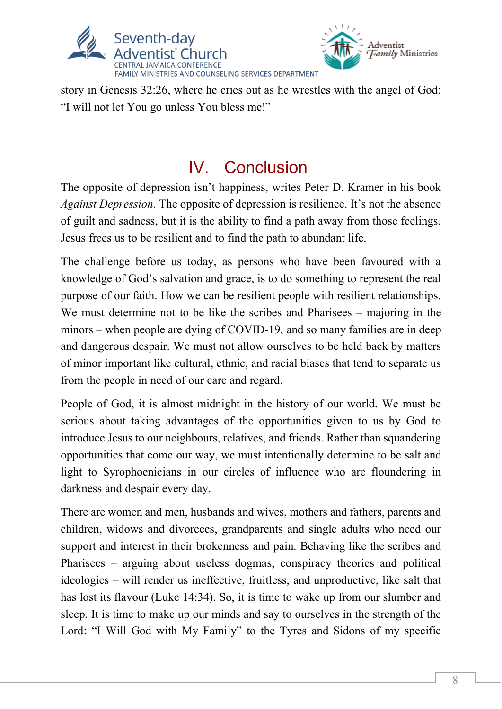



story in Genesis 32:26, where he cries out as he wrestles with the angel of God: "I will not let You go unless You bless me!"

#### IV. Conclusion

The opposite of depression isn't happiness, writes Peter D. Kramer in his book *Against Depression*. The opposite of depression is resilience. It's not the absence of guilt and sadness, but it is the ability to find a path away from those feelings. Jesus frees us to be resilient and to find the path to abundant life.

The challenge before us today, as persons who have been favoured with a knowledge of God's salvation and grace, is to do something to represent the real purpose of our faith. How we can be resilient people with resilient relationships. We must determine not to be like the scribes and Pharisees – majoring in the minors – when people are dying of COVID-19, and so many families are in deep and dangerous despair. We must not allow ourselves to be held back by matters of minor important like cultural, ethnic, and racial biases that tend to separate us from the people in need of our care and regard.

People of God, it is almost midnight in the history of our world. We must be serious about taking advantages of the opportunities given to us by God to introduce Jesus to our neighbours, relatives, and friends. Rather than squandering opportunities that come our way, we must intentionally determine to be salt and light to Syrophoenicians in our circles of influence who are floundering in darkness and despair every day.

There are women and men, husbands and wives, mothers and fathers, parents and children, widows and divorcees, grandparents and single adults who need our support and interest in their brokenness and pain. Behaving like the scribes and Pharisees – arguing about useless dogmas, conspiracy theories and political ideologies – will render us ineffective, fruitless, and unproductive, like salt that has lost its flavour (Luke 14:34). So, it is time to wake up from our slumber and sleep. It is time to make up our minds and say to ourselves in the strength of the Lord: "I Will God with My Family" to the Tyres and Sidons of my specific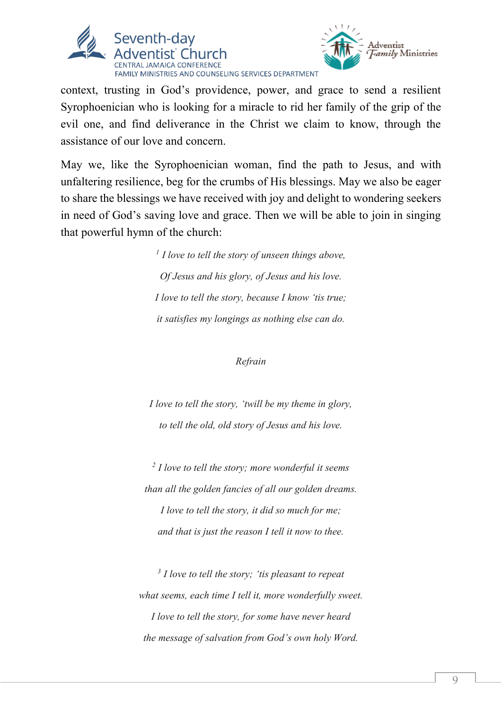



context, trusting in God's providence, power, and grace to send a resilient Syrophoenician who is looking for a miracle to rid her family of the grip of the evil one, and find deliverance in the Christ we claim to know, through the assistance of our love and concern.

May we, like the Syrophoenician woman, find the path to Jesus, and with unfaltering resilience, beg for the crumbs of His blessings. May we also be eager to share the blessings we have received with joy and delight to wondering seekers in need of God's saving love and grace. Then we will be able to join in singing that powerful hymn of the church:

> *<sup>1</sup> I love to tell the story of unseen things above, Of Jesus and his glory, of Jesus and his love. I love to tell the story, because I know 'tis true; it satisfies my longings as nothing else can do.*

#### *Refrain*

*I love to tell the story, 'twill be my theme in glory, to tell the old, old story of Jesus and his love.*

*<sup>2</sup> I love to tell the story; more wonderful it seems than all the golden fancies of all our golden dreams. I love to tell the story, it did so much for me; and that is just the reason I tell it now to thee.*

*<sup>3</sup> I love to tell the story; 'tis pleasant to repeat what seems, each time I tell it, more wonderfully sweet. I love to tell the story, for some have never heard the message of salvation from God's own holy Word.*